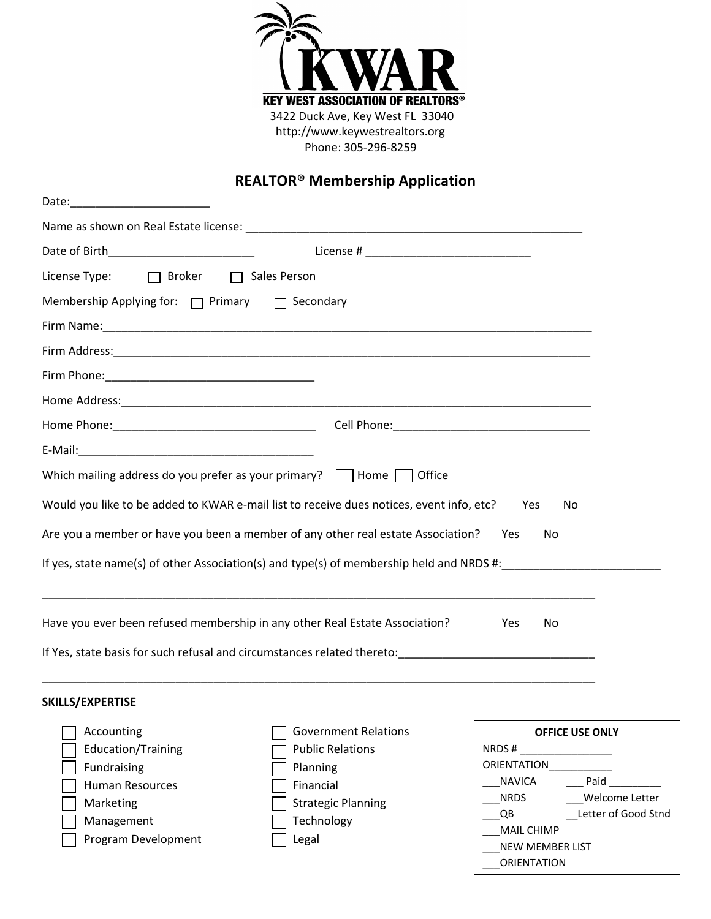

## **REALTOR® Membership Application**

| Date:<br><u> 1989 - Johann Barn, mars ann an t-Amhair an t-A</u>                                      |  |  |  |  |  |  |  |  |
|-------------------------------------------------------------------------------------------------------|--|--|--|--|--|--|--|--|
|                                                                                                       |  |  |  |  |  |  |  |  |
|                                                                                                       |  |  |  |  |  |  |  |  |
| License Type: □ Broker □ Sales Person                                                                 |  |  |  |  |  |  |  |  |
| Membership Applying for: $\Box$ Primary $\Box$ Secondary                                              |  |  |  |  |  |  |  |  |
|                                                                                                       |  |  |  |  |  |  |  |  |
|                                                                                                       |  |  |  |  |  |  |  |  |
|                                                                                                       |  |  |  |  |  |  |  |  |
|                                                                                                       |  |  |  |  |  |  |  |  |
|                                                                                                       |  |  |  |  |  |  |  |  |
|                                                                                                       |  |  |  |  |  |  |  |  |
| Which mailing address do you prefer as your primary? $\Box$ Home $\Box$ Office                        |  |  |  |  |  |  |  |  |
| Would you like to be added to KWAR e-mail list to receive dues notices, event info, etc?<br>Yes<br>No |  |  |  |  |  |  |  |  |
| Are you a member or have you been a member of any other real estate Association?<br>Yes<br>No         |  |  |  |  |  |  |  |  |
| If yes, state name(s) of other Association(s) and type(s) of membership held and NRDS #:              |  |  |  |  |  |  |  |  |
| Have you ever been refused membership in any other Real Estate Association?<br>Yes<br>No              |  |  |  |  |  |  |  |  |
|                                                                                                       |  |  |  |  |  |  |  |  |
|                                                                                                       |  |  |  |  |  |  |  |  |

## **SKILLS/EXPERTISE**

| Accounting<br><b>Education/Training</b><br>Fundraising<br><b>Human Resources</b><br>Marketing<br>Management<br>Program Development | <b>Government Relations</b><br><b>Public Relations</b><br>Planning<br>Financial<br><b>Strategic Planning</b><br>Technology<br>Legal | <b>OFFICE USE ONLY</b><br>NRDS#<br><b>ORIENTATION</b><br>Paid<br>NAVICA<br>Welcome Letter<br>NRDS<br>Letter of Good Stnd<br>QB<br><b>MAIL CHIMP</b><br><b>NEW MEMBER LIST</b><br><b>ORIENTATION</b> |
|------------------------------------------------------------------------------------------------------------------------------------|-------------------------------------------------------------------------------------------------------------------------------------|-----------------------------------------------------------------------------------------------------------------------------------------------------------------------------------------------------|
|------------------------------------------------------------------------------------------------------------------------------------|-------------------------------------------------------------------------------------------------------------------------------------|-----------------------------------------------------------------------------------------------------------------------------------------------------------------------------------------------------|